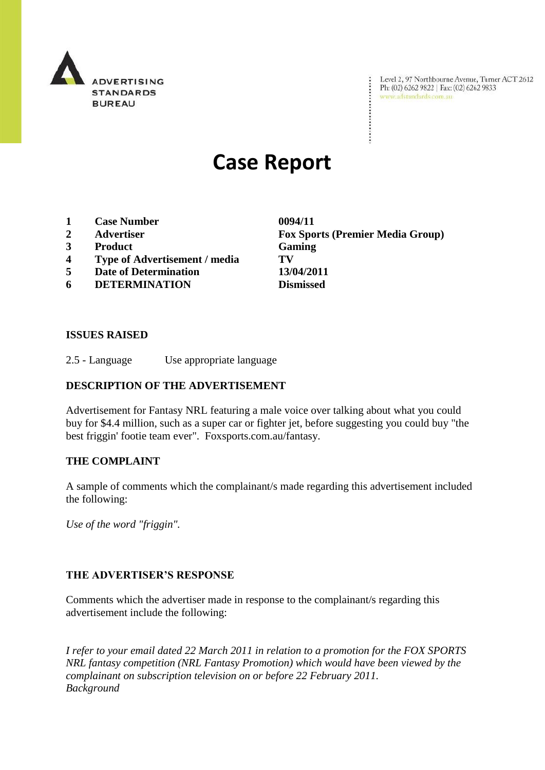

Level 2, 97 Northbourne Avenue, Turner ACT 2612<br>Ph: (02) 6262 9822 | Fax: (02) 6262 9833<br>www.adstandards.com.au

# **Case Report**

- **1 Case Number 0094/11**
- 
- **3 Product Gaming**
- **4 Type of Advertisement / media TV**
- **5 Date of Determination 13/04/2011**
- **6 DETERMINATION Dismissed**

**2 Advertiser Fox Sports (Premier Media Group)**

÷

#### **ISSUES RAISED**

2.5 - Language Use appropriate language

### **DESCRIPTION OF THE ADVERTISEMENT**

Advertisement for Fantasy NRL featuring a male voice over talking about what you could buy for \$4.4 million, such as a super car or fighter jet, before suggesting you could buy "the best friggin' footie team ever". Foxsports.com.au/fantasy.

#### **THE COMPLAINT**

A sample of comments which the complainant/s made regarding this advertisement included the following:

*Use of the word "friggin".*

#### **THE ADVERTISER'S RESPONSE**

Comments which the advertiser made in response to the complainant/s regarding this advertisement include the following:

*I refer to your email dated 22 March 2011 in relation to a promotion for the FOX SPORTS NRL fantasy competition (NRL Fantasy Promotion) which would have been viewed by the complainant on subscription television on or before 22 February 2011. Background*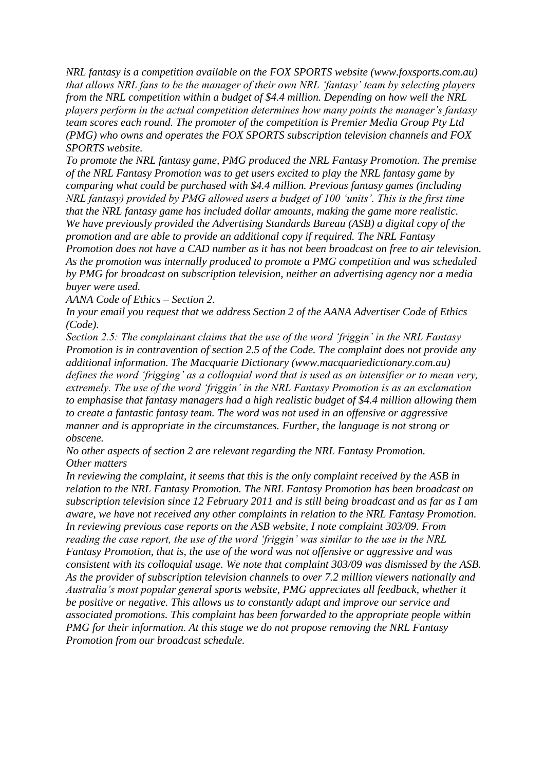*NRL fantasy is a competition available on the FOX SPORTS website (www.foxsports.com.au) that allows NRL fans to be the manager of their own NRL 'fantasy' team by selecting players from the NRL competition within a budget of \$4.4 million. Depending on how well the NRL players perform in the actual competition determines how many points the manager's fantasy team scores each round. The promoter of the competition is Premier Media Group Pty Ltd (PMG) who owns and operates the FOX SPORTS subscription television channels and FOX SPORTS website.* 

*To promote the NRL fantasy game, PMG produced the NRL Fantasy Promotion. The premise of the NRL Fantasy Promotion was to get users excited to play the NRL fantasy game by comparing what could be purchased with \$4.4 million. Previous fantasy games (including NRL fantasy) provided by PMG allowed users a budget of 100 'units'. This is the first time that the NRL fantasy game has included dollar amounts, making the game more realistic. We have previously provided the Advertising Standards Bureau (ASB) a digital copy of the promotion and are able to provide an additional copy if required. The NRL Fantasy Promotion does not have a CAD number as it has not been broadcast on free to air television. As the promotion was internally produced to promote a PMG competition and was scheduled by PMG for broadcast on subscription television, neither an advertising agency nor a media buyer were used.* 

*AANA Code of Ethics – Section 2.*

*In your email you request that we address Section 2 of the AANA Advertiser Code of Ethics (Code).* 

*Section 2.5: The complainant claims that the use of the word 'friggin' in the NRL Fantasy Promotion is in contravention of section 2.5 of the Code. The complaint does not provide any additional information. The Macquarie Dictionary (www.macquariedictionary.com.au) defines the word 'frigging' as a colloquial word that is used as an intensifier or to mean very, extremely. The use of the word 'friggin' in the NRL Fantasy Promotion is as an exclamation to emphasise that fantasy managers had a high realistic budget of \$4.4 million allowing them to create a fantastic fantasy team. The word was not used in an offensive or aggressive manner and is appropriate in the circumstances. Further, the language is not strong or obscene.* 

*No other aspects of section 2 are relevant regarding the NRL Fantasy Promotion. Other matters*

*In reviewing the complaint, it seems that this is the only complaint received by the ASB in relation to the NRL Fantasy Promotion. The NRL Fantasy Promotion has been broadcast on subscription television since 12 February 2011 and is still being broadcast and as far as I am aware, we have not received any other complaints in relation to the NRL Fantasy Promotion. In reviewing previous case reports on the ASB website, I note complaint 303/09. From reading the case report, the use of the word 'friggin' was similar to the use in the NRL Fantasy Promotion, that is, the use of the word was not offensive or aggressive and was consistent with its colloquial usage. We note that complaint 303/09 was dismissed by the ASB. As the provider of subscription television channels to over 7.2 million viewers nationally and Australia's most popular general sports website, PMG appreciates all feedback, whether it be positive or negative. This allows us to constantly adapt and improve our service and associated promotions. This complaint has been forwarded to the appropriate people within PMG for their information. At this stage we do not propose removing the NRL Fantasy Promotion from our broadcast schedule.*